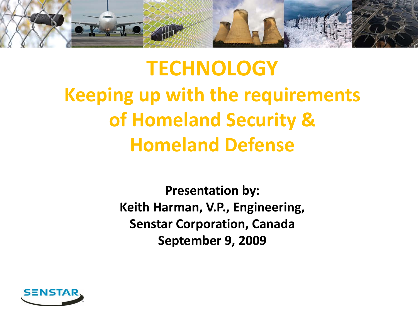

# **TECHNOLOGY Keeping up with the requirements of Homeland Security & Homeland Defense**

**Presentation by: Keith Harman, V.P., Engineering, Senstar Corporation, Canada September 9, 2009**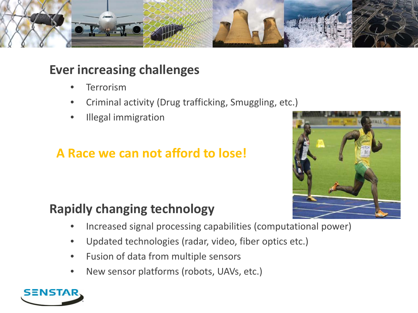

#### **Ever increasing challenges**

- **Terrorism**
- Criminal activity (Drug trafficking, Smuggling, etc.)
- Illegal immigration

### **A Race we can not afford to lose!**



#### **Rapidly changing technology**

- Increased signal processing capabilities (computational power)
- Updated technologies (radar, video, fiber optics etc.)
- Fusion of data from multiple sensors
- New sensor platforms (robots, UAVs, etc.)

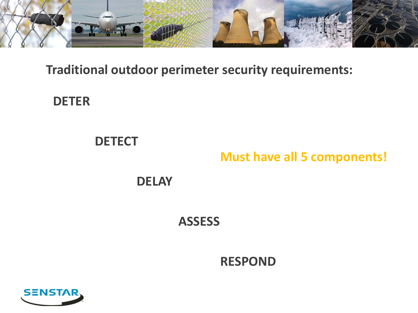

#### **Traditional outdoor perimeter security requirements:**

#### **DETER**

# **DETECT**

#### **Must have all 5 components!**

#### **DELAY**

#### **ASSESS**

#### **RESPOND**

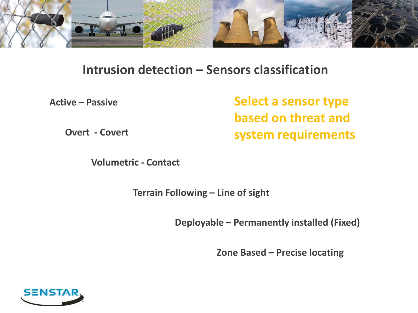

#### **Intrusion detection – Sensors classification**

**Active – Passive**

**Select a sensor type based on threat and system requirements**

**Overt - Covert**

**Volumetric - Contact**

**Terrain Following – Line of sight**

**Deployable – Permanently installed (Fixed)**

**Zone Based – Precise locating** 

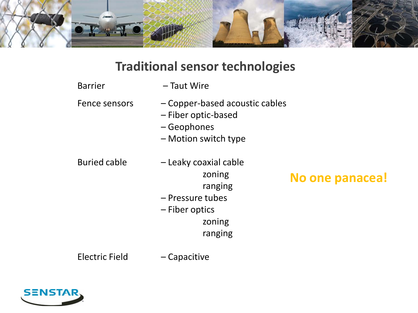

#### **Traditional sensor technologies**

- Fence sensors Copper-based acoustic cables
	- Fiber optic-based
	- Geophones
	- Motion switch type

- 
- Buried cable Leaky coaxial cable zoning ranging

# **No one panacea!**

- Pressure tubes
- Fiber optics

zoning

ranging

Electric Field – Capacitive

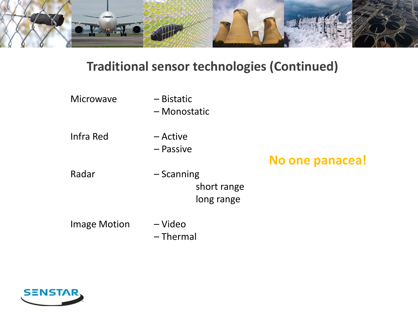

#### **Traditional sensor technologies (Continued)**

| <b>Microwave</b>    | $-$ Bistatic<br>- Monostatic              |                 |
|---------------------|-------------------------------------------|-----------------|
| Infra Red           | – Active<br>– Passive                     | No one panacea! |
| Radar               | $-$ Scanning<br>short range<br>long range |                 |
| <b>Image Motion</b> | – Video<br>$-$ Thermal                    |                 |

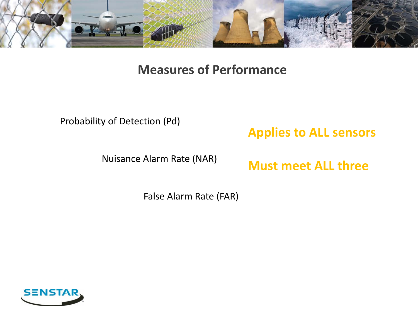

#### **Measures of Performance**

#### Probability of Detection (Pd)

#### **Applies to ALL sensors**

Nuisance Alarm Rate (NAR)

**Must meet ALL three**

False Alarm Rate (FAR)

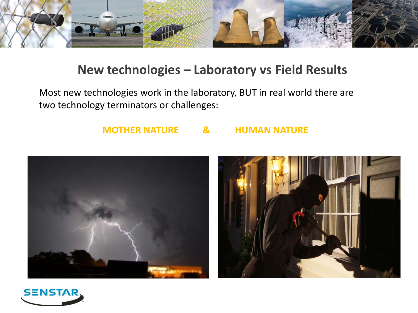

#### **New technologies – Laboratory vs Field Results**

Most new technologies work in the laboratory, BUT in real world there are two technology terminators or challenges:

#### **MOTHER NATURE & HUMAN NATURE**





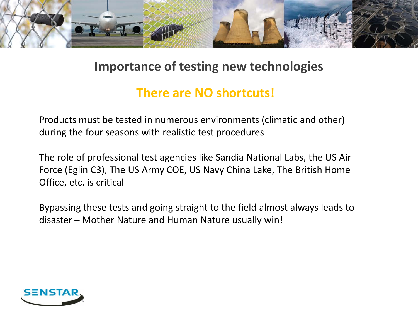

#### **Importance of testing new technologies**

#### **There are NO shortcuts!**

Products must be tested in numerous environments (climatic and other) during the four seasons with realistic test procedures

The role of professional test agencies like Sandia National Labs, the US Air Force (Eglin C3), The US Army COE, US Navy China Lake, The British Home Office, etc. is critical

Bypassing these tests and going straight to the field almost always leads to disaster – Mother Nature and Human Nature usually win!

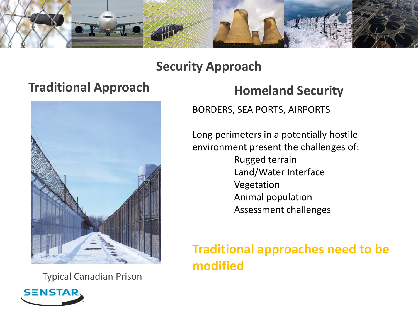

#### **Security Approach**

# **Traditional Approach <b>Homeland Security**



Typical Canadian Prison



BORDERS, SEA PORTS, AIRPORTS

Long perimeters in a potentially hostile environment present the challenges of: Rugged terrain

- Land/Water Interface Vegetation Animal population
	- Assessment challenges

## **Traditional approaches need to be modified**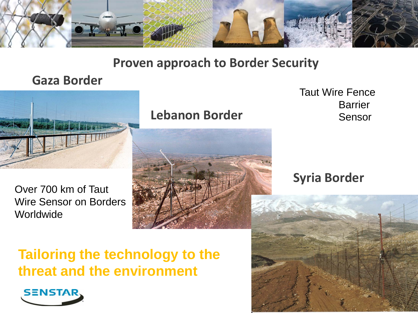

#### **Proven approach to Border Security**

#### **Gaza Border**



Over 700 km of Taut Wire Sensor on Borders **Worldwide** 

#### **Lebanon Border**

Taut Wire Fence **Barrier** Sensor

#### **Syria Border**

# **Tailoring the technology to the threat and the environment**

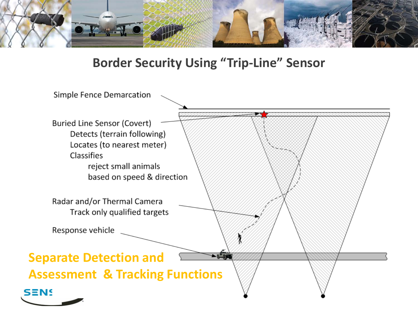

#### **Border Security Using "Trip-Line" Sensor**

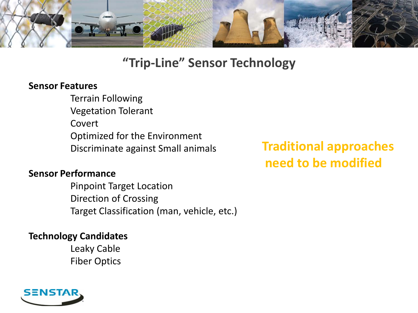

#### **"Trip-Line" Sensor Technology**

#### **Sensor Features**

Terrain Following Vegetation Tolerant Covert Optimized for the Environment Discriminate against Small animals

#### **Sensor Performance**

Pinpoint Target Location Direction of Crossing Target Classification (man, vehicle, etc.)

#### **Technology Candidates**

Leaky Cable Fiber Optics

# **Traditional approaches need to be modified**

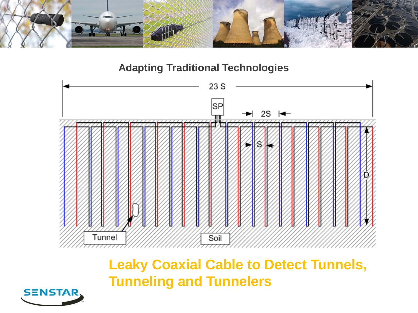

**Adapting Traditional Technologies**



**Leaky Coaxial Cable to Detect Tunnels, Tunneling and Tunnelers**